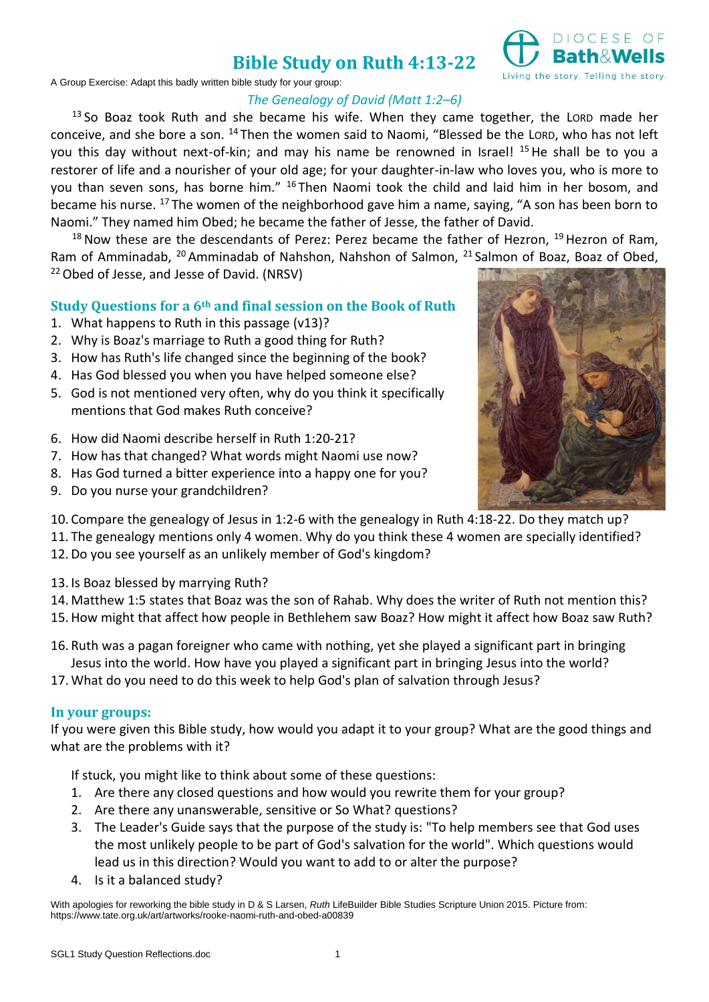## **Bible Study on Ruth 4:13-22**



A Group Exercise: Adapt this badly written bible study for your group:

#### *The Genealogy of David (Matt 1:2–6)*

 $13$  So Boaz took Ruth and she became his wife. When they came together, the LORD made her conceive, and she bore a son. <sup>14</sup> Then the women said to Naomi, "Blessed be the LORD, who has not left you this day without next-of-kin; and may his name be renowned in Israel! <sup>15</sup> He shall be to you a restorer of life and a nourisher of your old age; for your daughter-in-law who loves you, who is more to you than seven sons, has borne him." <sup>16</sup> Then Naomi took the child and laid him in her bosom, and became his nurse. <sup>17</sup> The women of the neighborhood gave him a name, saying, "A son has been born to Naomi." They named him Obed; he became the father of Jesse, the father of David.

 $18$  Now these are the descendants of Perez: Perez became the father of Hezron,  $19$  Hezron of Ram, Ram of Amminadab, <sup>20</sup> Amminadab of Nahshon, Nahshon of Salmon, <sup>21</sup> Salmon of Boaz, Boaz of Obed, <sup>22</sup> Obed of Jesse, and Jesse of David. (NRSV)

#### **Study Questions for a 6th and final session on the Book of Ruth**

- 1. What happens to Ruth in this passage (v13)?
- 2. Why is Boaz's marriage to Ruth a good thing for Ruth?
- 3. How has Ruth's life changed since the beginning of the book?
- 4. Has God blessed you when you have helped someone else?
- 5. God is not mentioned very often, why do you think it specifically mentions that God makes Ruth conceive?
- 6. How did Naomi describe herself in Ruth 1:20-21?
- 7. How has that changed? What words might Naomi use now?
- 8. Has God turned a bitter experience into a happy one for you?
- 9. Do you nurse your grandchildren?



- 10. Compare the genealogy of Jesus in 1:2-6 with the genealogy in Ruth 4:18-22. Do they match up?
- 11. The genealogy mentions only 4 women. Why do you think these 4 women are specially identified?
- 12.Do you see yourself as an unlikely member of God's kingdom?
- 13. Is Boaz blessed by marrying Ruth?
- 14. Matthew 1:5 states that Boaz was the son of Rahab. Why does the writer of Ruth not mention this?
- 15.How might that affect how people in Bethlehem saw Boaz? How might it affect how Boaz saw Ruth?
- 16. Ruth was a pagan foreigner who came with nothing, yet she played a significant part in bringing Jesus into the world. How have you played a significant part in bringing Jesus into the world?
- 17.What do you need to do this week to help God's plan of salvation through Jesus?

#### **In your groups:**

If you were given this Bible study, how would you adapt it to your group? What are the good things and what are the problems with it?

If stuck, you might like to think about some of these questions:

- 1. Are there any closed questions and how would you rewrite them for your group?
- 2. Are there any unanswerable, sensitive or So What? questions?
- 3. The Leader's Guide says that the purpose of the study is: "To help members see that God uses the most unlikely people to be part of God's salvation for the world". Which questions would lead us in this direction? Would you want to add to or alter the purpose?
- 4. Is it a balanced study?

With apologies for reworking the bible study in D & S Larsen, *Ruth* LifeBuilder Bible Studies Scripture Union 2015. Picture from: https://www.tate.org.uk/art/artworks/rooke-naomi-ruth-and-obed-a00839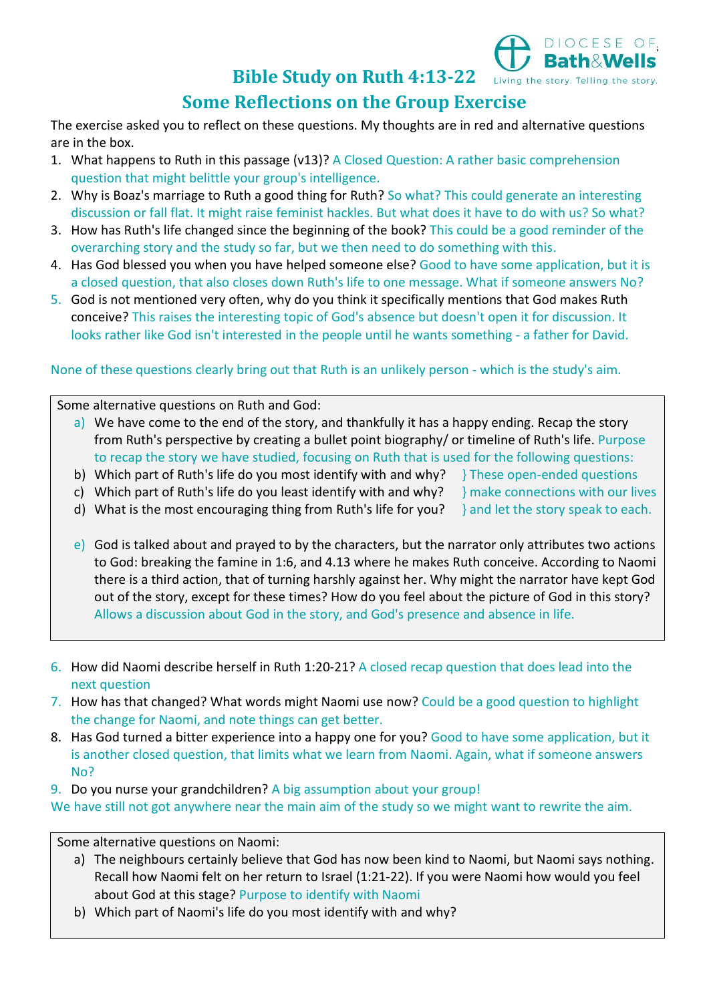## **Bible Study on Ruth 4:13-22**

# **Some Reflections on the Group Exercise**

The exercise asked you to reflect on these questions. My thoughts are in red and alternative questions are in the box.

- 1. What happens to Ruth in this passage (v13)? A Closed Question: A rather basic comprehension question that might belittle your group's intelligence.
- 2. Why is Boaz's marriage to Ruth a good thing for Ruth? So what? This could generate an interesting discussion or fall flat. It might raise feminist hackles. But what does it have to do with us? So what?
- 3. How has Ruth's life changed since the beginning of the book? This could be a good reminder of the overarching story and the study so far, but we then need to do something with this.
- 4. Has God blessed you when you have helped someone else? Good to have some application, but it is a closed question, that also closes down Ruth's life to one message. What if someone answers No?
- 5. God is not mentioned very often, why do you think it specifically mentions that God makes Ruth conceive? This raises the interesting topic of God's absence but doesn't open it for discussion. It looks rather like God isn't interested in the people until he wants something - a father for David.

### None of these questions clearly bring out that Ruth is an unlikely person - which is the study's aim.

Some alternative questions on Ruth and God:

- a) We have come to the end of the story, and thankfully it has a happy ending. Recap the story from Ruth's perspective by creating a bullet point biography/ or timeline of Ruth's life. Purpose to recap the story we have studied, focusing on Ruth that is used for the following questions:
- b) Which part of Ruth's life do you most identify with and why?  $\frac{1}{2}$  These open-ended questions
- c) Which part of Ruth's life do you least identify with and why?  $\frac{1}{2}$  make connections with our lives
- d) What is the most encouraging thing from Ruth's life for you? and let the story speak to each.

DIOCESE OF<br>Rath&Wells

Living the story. Telling the story.

- $\epsilon$ ) God is talked about and prayed to by the characters, but the narrator only attributes two actions to God: breaking the famine in 1:6, and 4.13 where he makes Ruth conceive. According to Naomi
- there is a third action, that of turning harshly against her. Why might the narrator have kept God out of the story, except for these times? How do you feel about the picture of God in this story? Allows a discussion about God in the story, and God's presence and absence in life.
- 6. How did Naomi describe herself in Ruth 1:20-21? A closed recap question that does lead into the next question
- 7. How has that changed? What words might Naomi use now? Could be a good question to highlight the change for Naomi, and note things can get better.
- 8. Has God turned a bitter experience into a happy one for you? Good to have some application, but it is another closed question, that limits what we learn from Naomi. Again, what if someone answers No?

9. Do you nurse your grandchildren? A big assumption about your group!

We have still not got anywhere near the main aim of the study so we might want to rewrite the aim.

Some alternative questions on Naomi:

- a) The neighbours certainly believe that God has now been kind to Naomi, but Naomi says nothing. Recall how Naomi felt on her return to Israel (1:21-22). If you were Naomi how would you feel about God at this stage? Purpose to identify with Naomi
- b) Which part of Naomi's life do you most identify with and why?